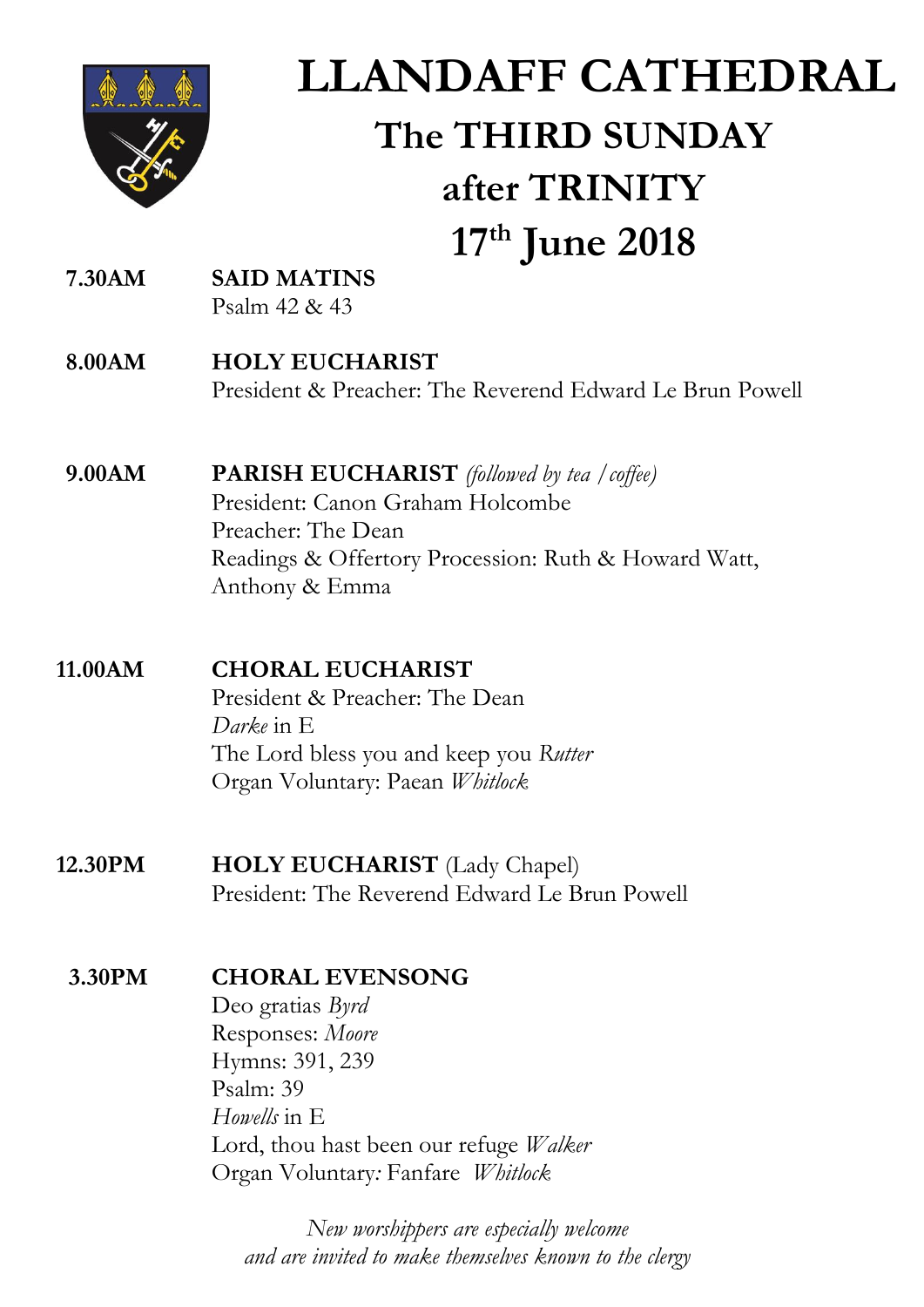

# **LLANDAFF CATHEDRAL The THIRD SUNDAY after TRINITY 17th June 2018**

- **7.30AM SAID MATINS**  Psalm 42 & 43
- **8.00AM HOLY EUCHARIST** President & Preacher: The Reverend Edward Le Brun Powell
- **9.00AM PARISH EUCHARIST** *(followed by tea /coffee)* President: Canon Graham Holcombe Preacher: The Dean Readings & Offertory Procession: Ruth & Howard Watt, Anthony & Emma

#### **11.00AM CHORAL EUCHARIST**

President & Preacher: The Dean *Darke* in E The Lord bless you and keep you *Rutter* Organ Voluntary: Paean *Whitlock*

 **12.30PM HOLY EUCHARIST** (Lady Chapel) President: The Reverend Edward Le Brun Powell

### **3.30PM CHORAL EVENSONG**

Deo gratias *Byrd* Responses: *Moore* Hymns: 391, 239 Psalm: 39 *Howells* in E Lord, thou hast been our refuge *Walker* Organ Voluntary*:* Fanfare *Whitlock*

*New worshippers are especially welcome and are invited to make themselves known to the clergy*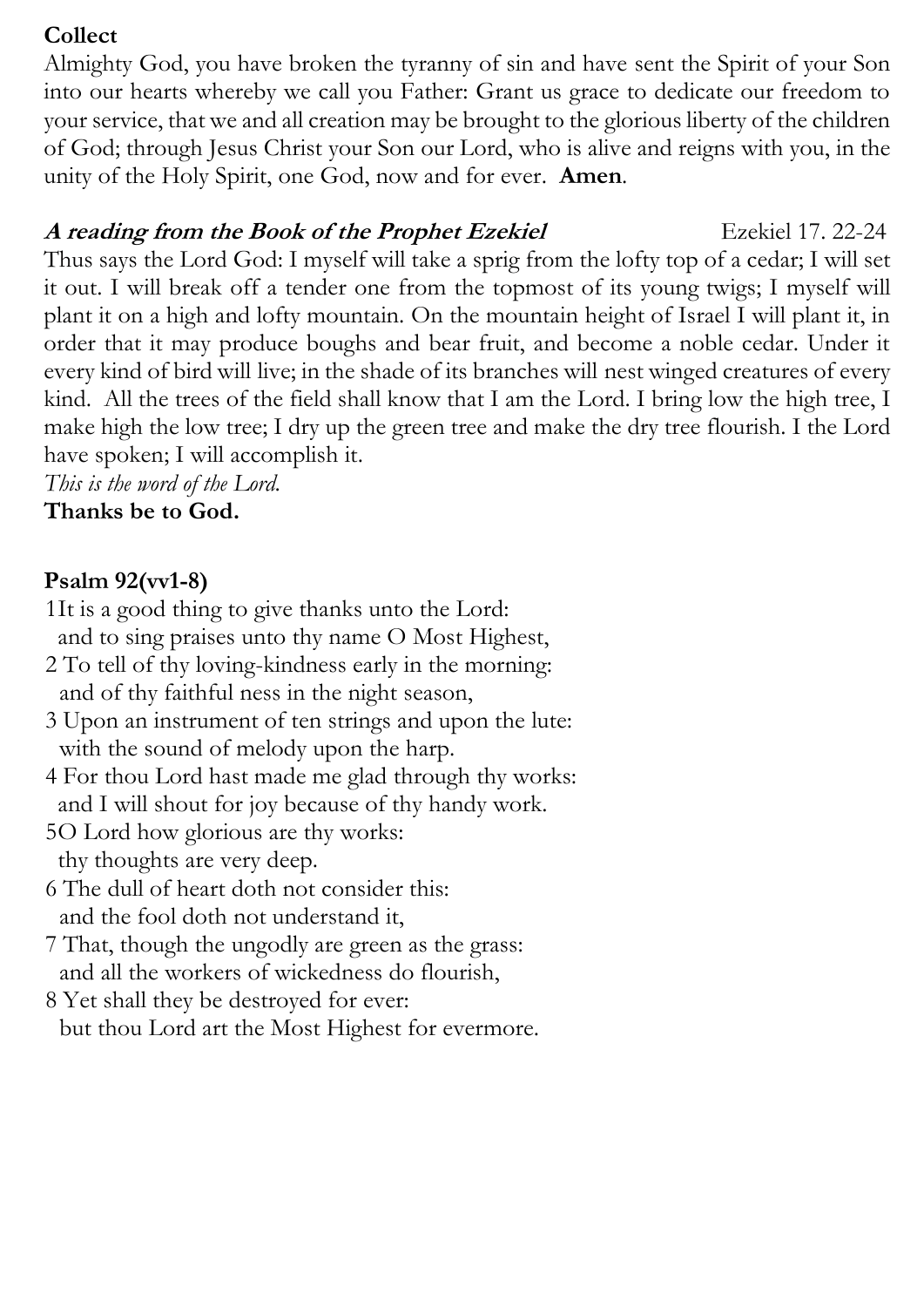### **Collect**

Almighty God, you have broken the tyranny of sin and have sent the Spirit of your Son into our hearts whereby we call you Father: Grant us grace to dedicate our freedom to your service, that we and all creation may be brought to the glorious liberty of the children of God; through Jesus Christ your Son our Lord, who is alive and reigns with you, in the unity of the Holy Spirit, one God, now and for ever. **Amen**.

### A reading from the Book of the Prophet Ezekiel **Execution** Ezekiel 17. 22-24

Thus says the Lord God: I myself will take a sprig from the lofty top of a cedar; I will set it out. I will break off a tender one from the topmost of its young twigs; I myself will plant it on a high and lofty mountain. On the mountain height of Israel I will plant it, in order that it may produce boughs and bear fruit, and become a noble cedar. Under it every kind of bird will live; in the shade of its branches will nest winged creatures of every kind. All the trees of the field shall know that I am the Lord. I bring low the high tree, I make high the low tree; I dry up the green tree and make the dry tree flourish. I the Lord have spoken; I will accomplish it.

*This is the word of the Lord.*

**Thanks be to God.**

### **Psalm 92(vv1-8)**

- 1It is a good thing to give thanks unto the Lord: and to sing praises unto thy name O Most Highest,
- 2 To tell of thy loving-kindness early in the morning: and of thy faithful ness in the night season,
- 3 Upon an instrument of ten strings and upon the lute: with the sound of melody upon the harp.
- 4 For thou Lord hast made me glad through thy works: and I will shout for joy because of thy handy work.
- 5O Lord how glorious are thy works: thy thoughts are very deep.
- 6 The dull of heart doth not consider this: and the fool doth not understand it,
- 7 That, though the ungodly are green as the grass: and all the workers of wickedness do flourish,
- 8 Yet shall they be destroyed for ever: but thou Lord art the Most Highest for evermore.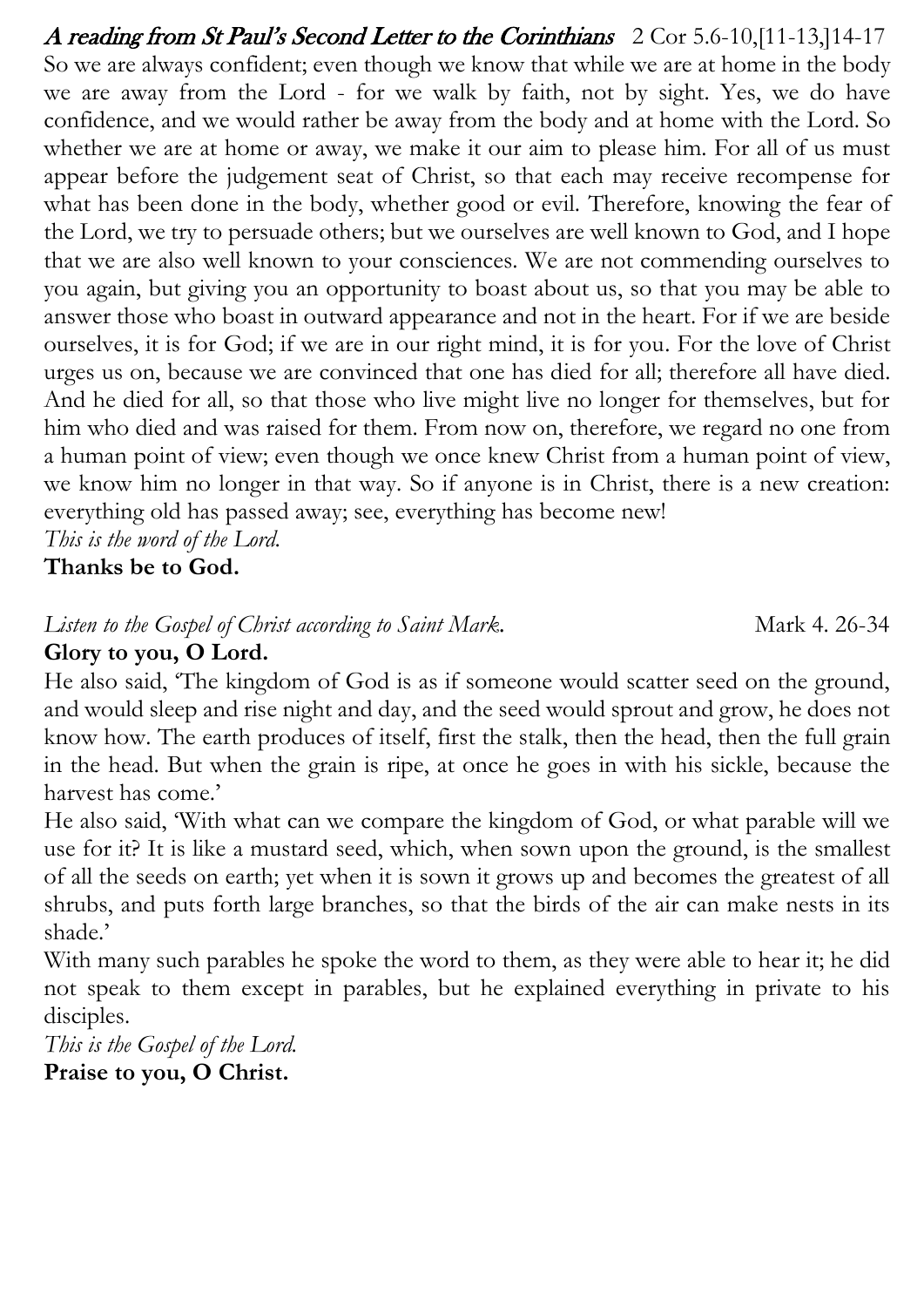A reading from St Paul's Second Letter to the Corinthians 2 Cor 5.6-10,[11-13,]14-17 So we are always confident; even though we know that while we are at home in the body we are away from the Lord - for we walk by faith, not by sight. Yes, we do have confidence, and we would rather be away from the body and at home with the Lord. So whether we are at home or away, we make it our aim to please him. For all of us must appear before the judgement seat of Christ, so that each may receive recompense for what has been done in the body, whether good or evil. Therefore, knowing the fear of the Lord, we try to persuade others; but we ourselves are well known to God, and I hope that we are also well known to your consciences. We are not commending ourselves to you again, but giving you an opportunity to boast about us, so that you may be able to answer those who boast in outward appearance and not in the heart. For if we are beside ourselves, it is for God; if we are in our right mind, it is for you. For the love of Christ urges us on, because we are convinced that one has died for all; therefore all have died. And he died for all, so that those who live might live no longer for themselves, but for him who died and was raised for them. From now on, therefore, we regard no one from a human point of view; even though we once knew Christ from a human point of view, we know him no longer in that way. So if anyone is in Christ, there is a new creation: everything old has passed away; see, everything has become new!

*This is the word of the Lord.* 

**Thanks be to God.**

### *Listen to the Gospel of Christ according to Saint Mark.* Mark 4. 26-34

### **Glory to you, O Lord.**

He also said, 'The kingdom of God is as if someone would scatter seed on the ground, and would sleep and rise night and day, and the seed would sprout and grow, he does not know how. The earth produces of itself, first the stalk, then the head, then the full grain in the head. But when the grain is ripe, at once he goes in with his sickle, because the harvest has come.'

He also said, 'With what can we compare the kingdom of God, or what parable will we use for it? It is like a mustard seed, which, when sown upon the ground, is the smallest of all the seeds on earth; yet when it is sown it grows up and becomes the greatest of all shrubs, and puts forth large branches, so that the birds of the air can make nests in its shade.'

With many such parables he spoke the word to them, as they were able to hear it; he did not speak to them except in parables, but he explained everything in private to his disciples.

*This is the Gospel of the Lord.* 

**Praise to you, O Christ.**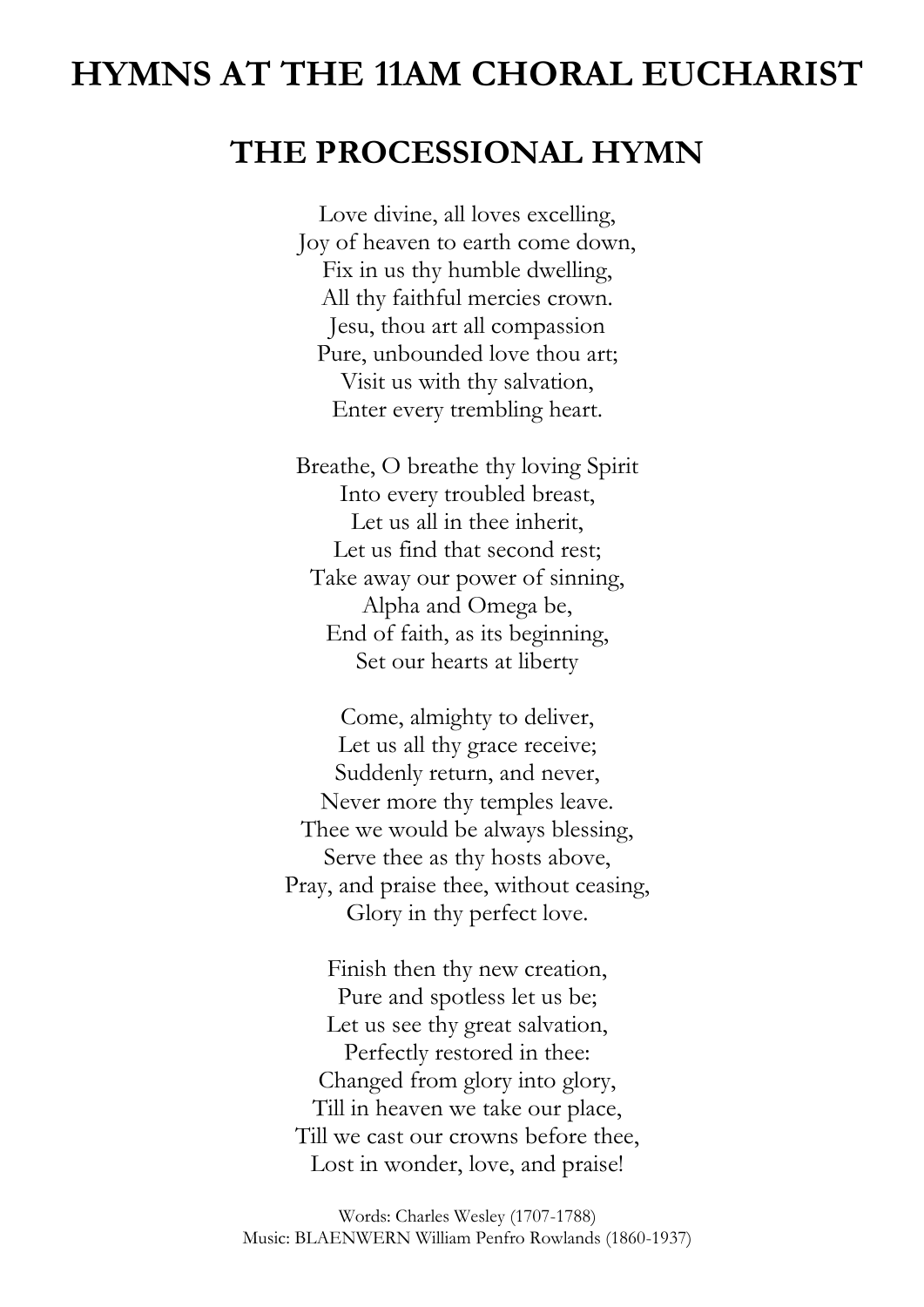# **HYMNS AT THE 11AM CHORAL EUCHARIST**

### **THE PROCESSIONAL HYMN**

Love divine, all loves excelling, Joy of heaven to earth come down, Fix in us thy humble dwelling, All thy faithful mercies crown. Jesu, thou art all compassion Pure, unbounded love thou art; Visit us with thy salvation, Enter every trembling heart.

Breathe, O breathe thy loving Spirit Into every troubled breast, Let us all in thee inherit, Let us find that second rest; Take away our power of sinning, Alpha and Omega be, End of faith, as its beginning, Set our hearts at liberty

Come, almighty to deliver, Let us all thy grace receive; Suddenly return, and never, Never more thy temples leave. Thee we would be always blessing, Serve thee as thy hosts above, Pray, and praise thee, without ceasing, Glory in thy perfect love.

Finish then thy new creation, Pure and spotless let us be; Let us see thy great salvation, Perfectly restored in thee: Changed from glory into glory, Till in heaven we take our place, Till we cast our crowns before thee, Lost in wonder, love, and praise!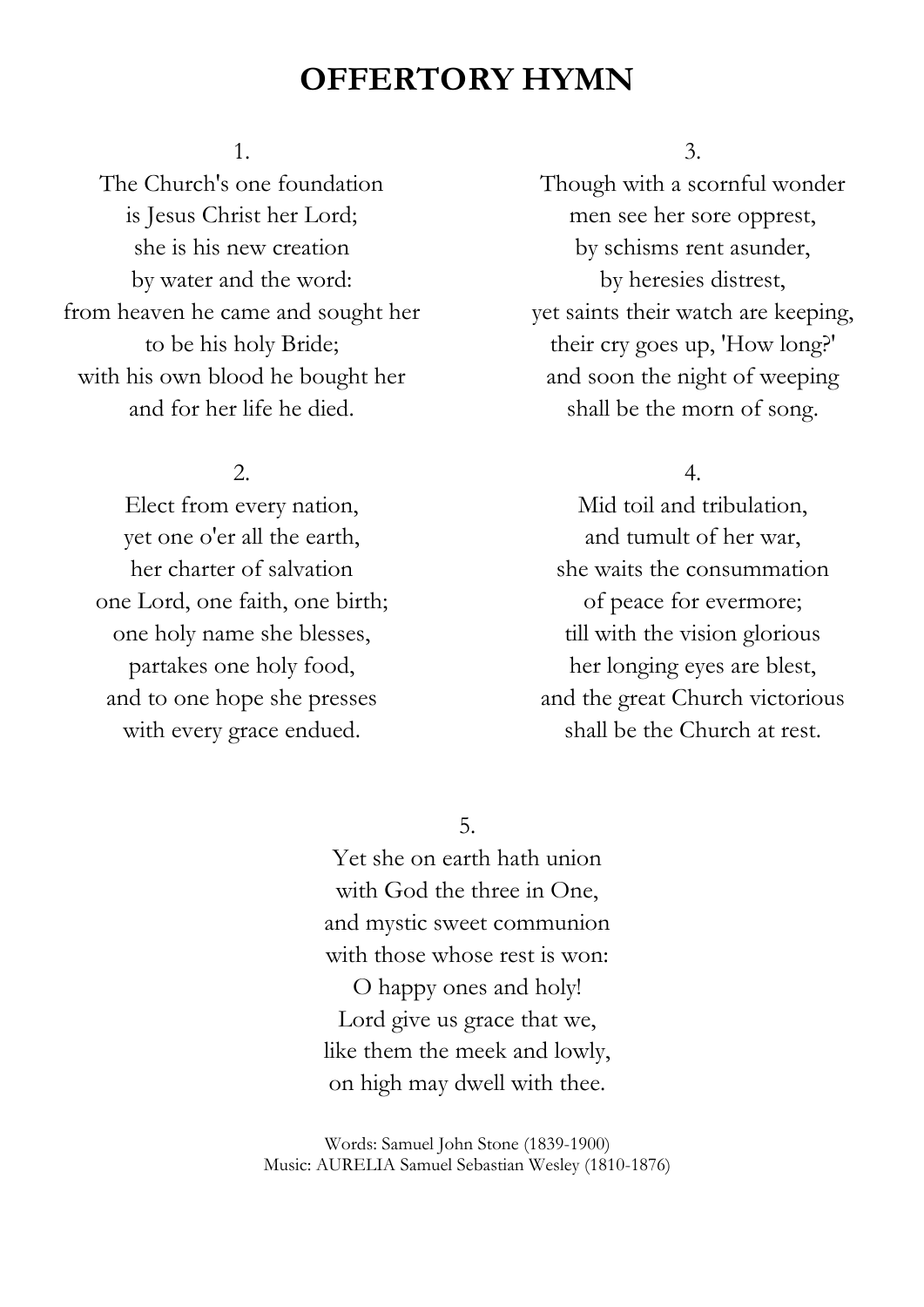## **OFFERTORY HYMN**

#### 1.

The Church's one foundation is Jesus Christ her Lord; she is his new creation by water and the word: from heaven he came and sought her to be his holy Bride; with his own blood he bought her and for her life he died.

#### 2.

Elect from every nation, yet one o'er all the earth, her charter of salvation one Lord, one faith, one birth; one holy name she blesses, partakes one holy food, and to one hope she presses with every grace endued.

#### 3.

Though with a scornful wonder men see her sore opprest, by schisms rent asunder, by heresies distrest, yet saints their watch are keeping, their cry goes up, 'How long?' and soon the night of weeping shall be the morn of song.

#### 4.

Mid toil and tribulation, and tumult of her war, she waits the consummation of peace for evermore; till with the vision glorious her longing eyes are blest, and the great Church victorious shall be the Church at rest.

5.

Yet she on earth hath union with God the three in One, and mystic sweet communion with those whose rest is won: O happy ones and holy! Lord give us grace that we, like them the meek and lowly, on high may dwell with thee.

Words: Samuel John Stone (1839-1900) Music: AURELIA Samuel Sebastian Wesley (1810-1876)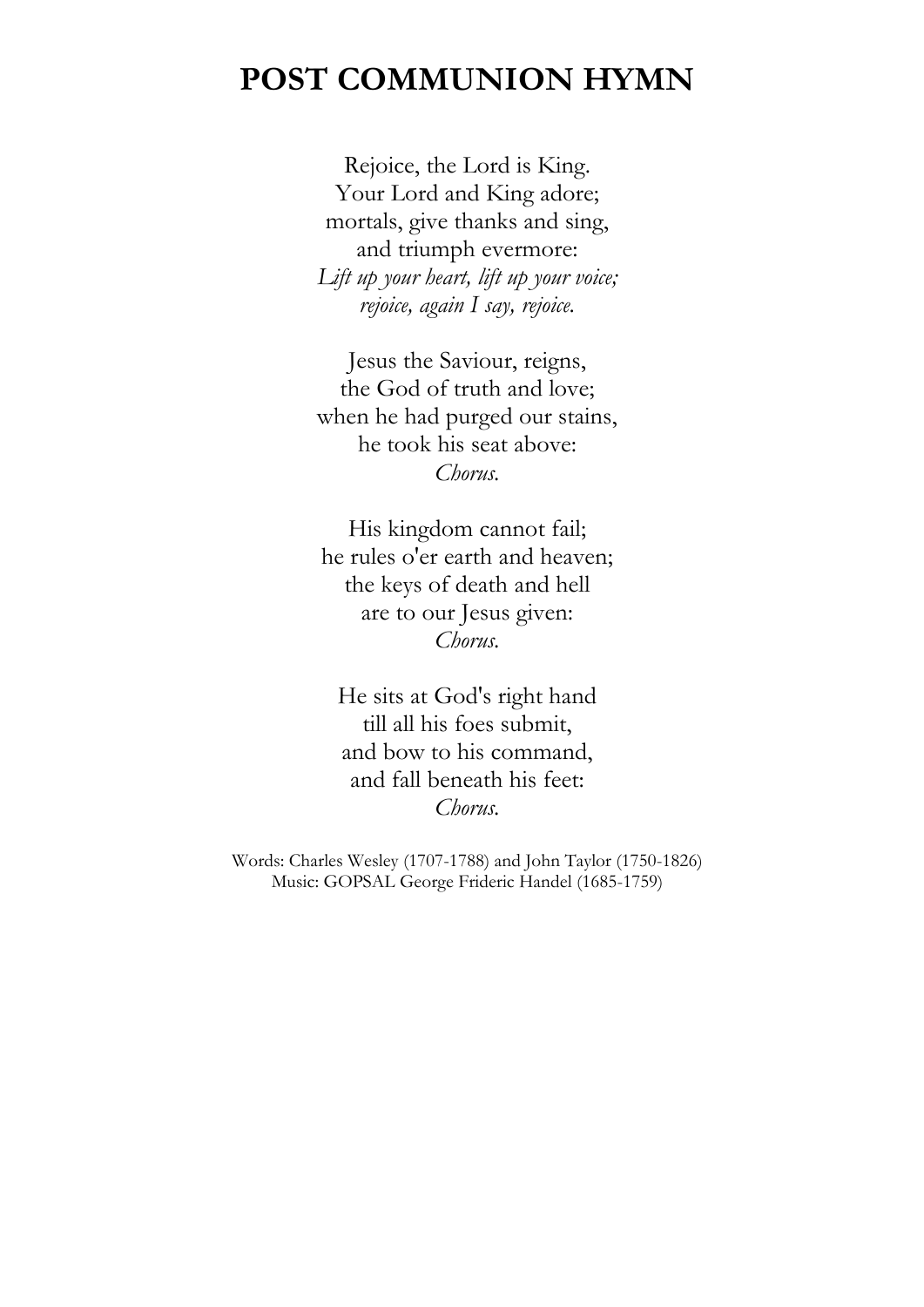## **POST COMMUNION HYMN**

Rejoice, the Lord is King. Your Lord and King adore; mortals, give thanks and sing, and triumph evermore: *Lift up your heart, lift up your voice; rejoice, again I say, rejoice.* 

Jesus the Saviour, reigns, the God of truth and love; when he had purged our stains, he took his seat above: *Chorus.* 

His kingdom cannot fail; he rules o'er earth and heaven; the keys of death and hell are to our Jesus given: *Chorus.* 

He sits at God's right hand till all his foes submit, and bow to his command, and fall beneath his feet: *Chorus.*

Words: Charles Wesley (1707-1788) and John Taylor (1750-1826) Music: GOPSAL George Frideric Handel (1685-1759)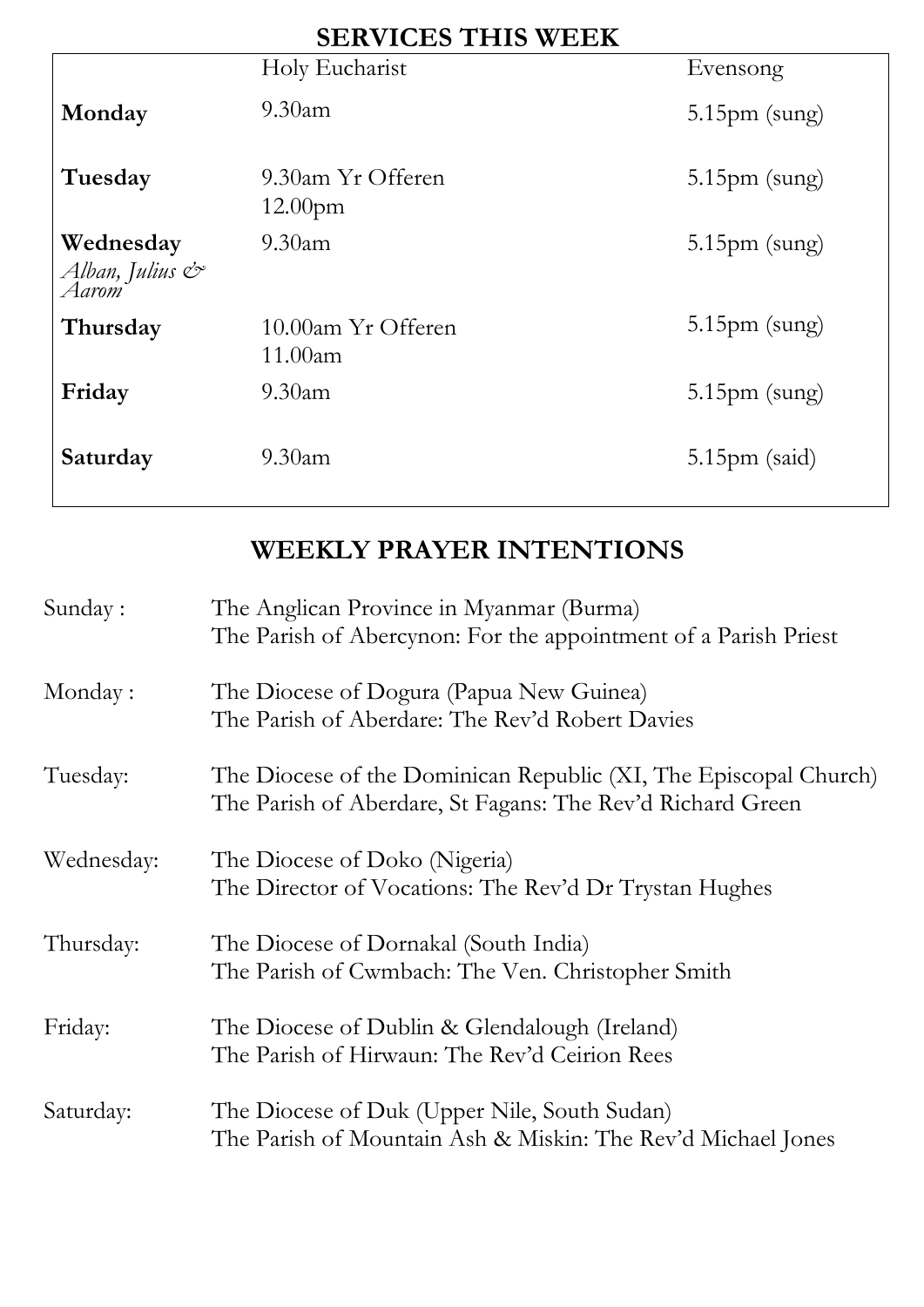| <b>SERVICES THIS WEEK</b>                           |                                          |                         |  |
|-----------------------------------------------------|------------------------------------------|-------------------------|--|
|                                                     | Holy Eucharist                           | Evensong                |  |
| Monday                                              | $9.30$ am                                | $5.15 \text{pm}$ (sung) |  |
| Tuesday                                             | 9.30am Yr Offeren<br>12.00 <sub>pm</sub> | $5.15 \text{pm}$ (sung) |  |
| Wednesday<br>Alban, Julius $\mathcal{C}^*$<br>Aarom | $9.30$ am                                | $5.15 \text{pm}$ (sung) |  |
| Thursday                                            | 10.00am Yr Offeren<br>11.00am            | $5.15 \text{pm}$ (sung) |  |
| Friday                                              | $9.30$ am                                | $5.15 \text{pm}$ (sung) |  |
| Saturday                                            | $9.30$ am                                | $5.15 \text{pm}$ (said) |  |

# **WEEKLY PRAYER INTENTIONS**

| Sunday:    | The Anglican Province in Myanmar (Burma)<br>The Parish of Abercynon: For the appointment of a Parish Priest                    |
|------------|--------------------------------------------------------------------------------------------------------------------------------|
| Monday:    | The Diocese of Dogura (Papua New Guinea)<br>The Parish of Aberdare: The Rev'd Robert Davies                                    |
| Tuesday:   | The Diocese of the Dominican Republic (XI, The Episcopal Church)<br>The Parish of Aberdare, St Fagans: The Rev'd Richard Green |
| Wednesday: | The Diocese of Doko (Nigeria)<br>The Director of Vocations: The Rev'd Dr Trystan Hughes                                        |
| Thursday:  | The Diocese of Dornakal (South India)<br>The Parish of Cwmbach: The Ven. Christopher Smith                                     |
| Friday:    | The Diocese of Dublin & Glendalough (Ireland)<br>The Parish of Hirwaun: The Rev'd Ceirion Rees                                 |
| Saturday:  | The Diocese of Duk (Upper Nile, South Sudan)<br>The Parish of Mountain Ash & Miskin: The Rev'd Michael Jones                   |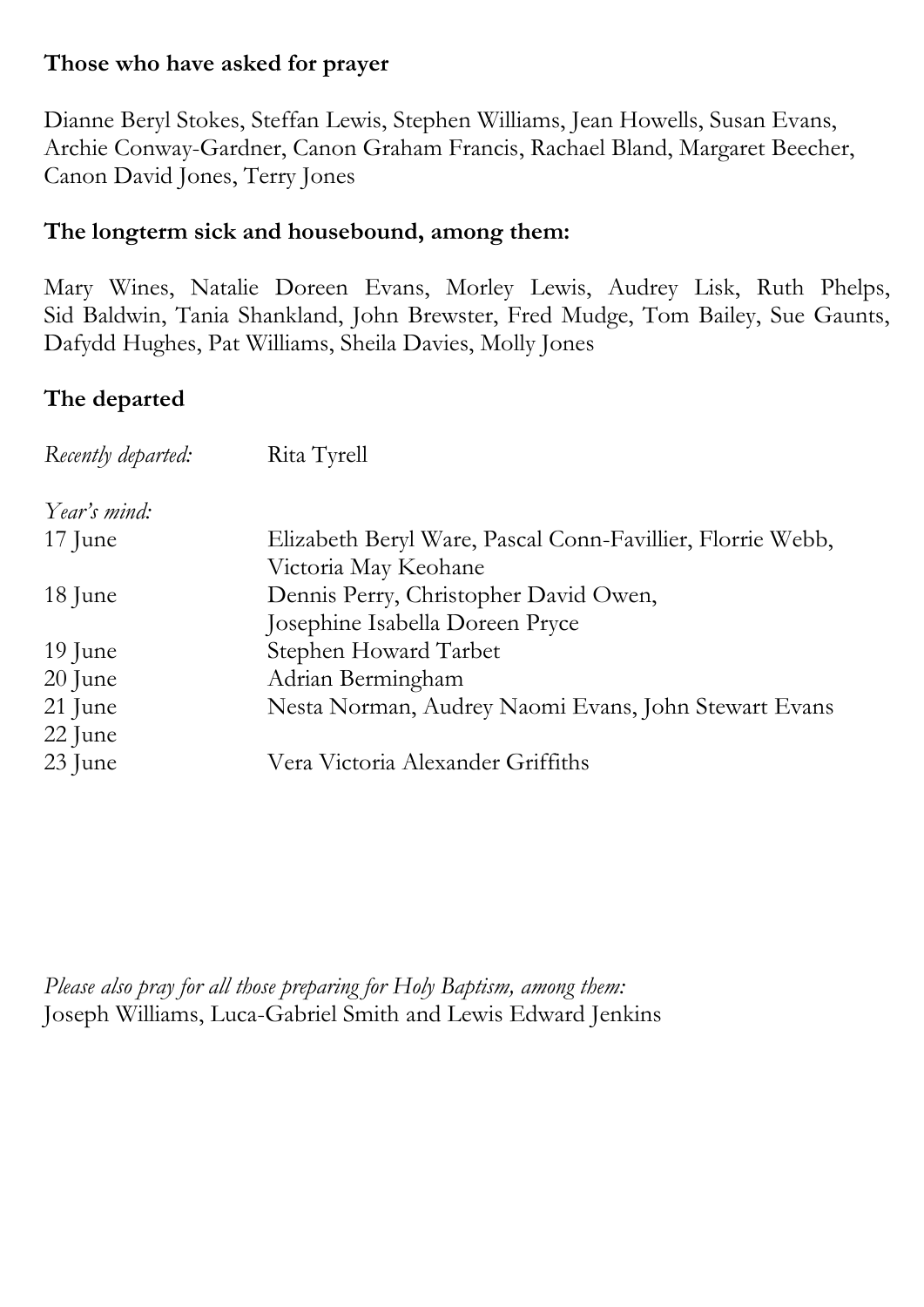#### **Those who have asked for prayer**

Dianne Beryl Stokes, Steffan Lewis, Stephen Williams, Jean Howells, Susan Evans, Archie Conway-Gardner, Canon Graham Francis, Rachael Bland, Margaret Beecher, Canon David Jones, Terry Jones

#### **The longterm sick and housebound, among them:**

Mary Wines, Natalie Doreen Evans, Morley Lewis, Audrey Lisk, Ruth Phelps, Sid Baldwin, Tania Shankland, John Brewster, Fred Mudge, Tom Bailey, Sue Gaunts, Dafydd Hughes, Pat Williams, Sheila Davies, Molly Jones

### **The departed**

| Rita Tyrell                                                |
|------------------------------------------------------------|
|                                                            |
| Elizabeth Beryl Ware, Pascal Conn-Favillier, Florrie Webb, |
| Victoria May Keohane                                       |
| Dennis Perry, Christopher David Owen,                      |
| Josephine Isabella Doreen Pryce                            |
| Stephen Howard Tarbet                                      |
| Adrian Bermingham                                          |
| Nesta Norman, Audrey Naomi Evans, John Stewart Evans       |
|                                                            |
| Vera Victoria Alexander Griffiths                          |
|                                                            |

*Please also pray for all those preparing for Holy Baptism, among them:*  Joseph Williams, Luca-Gabriel Smith and Lewis Edward Jenkins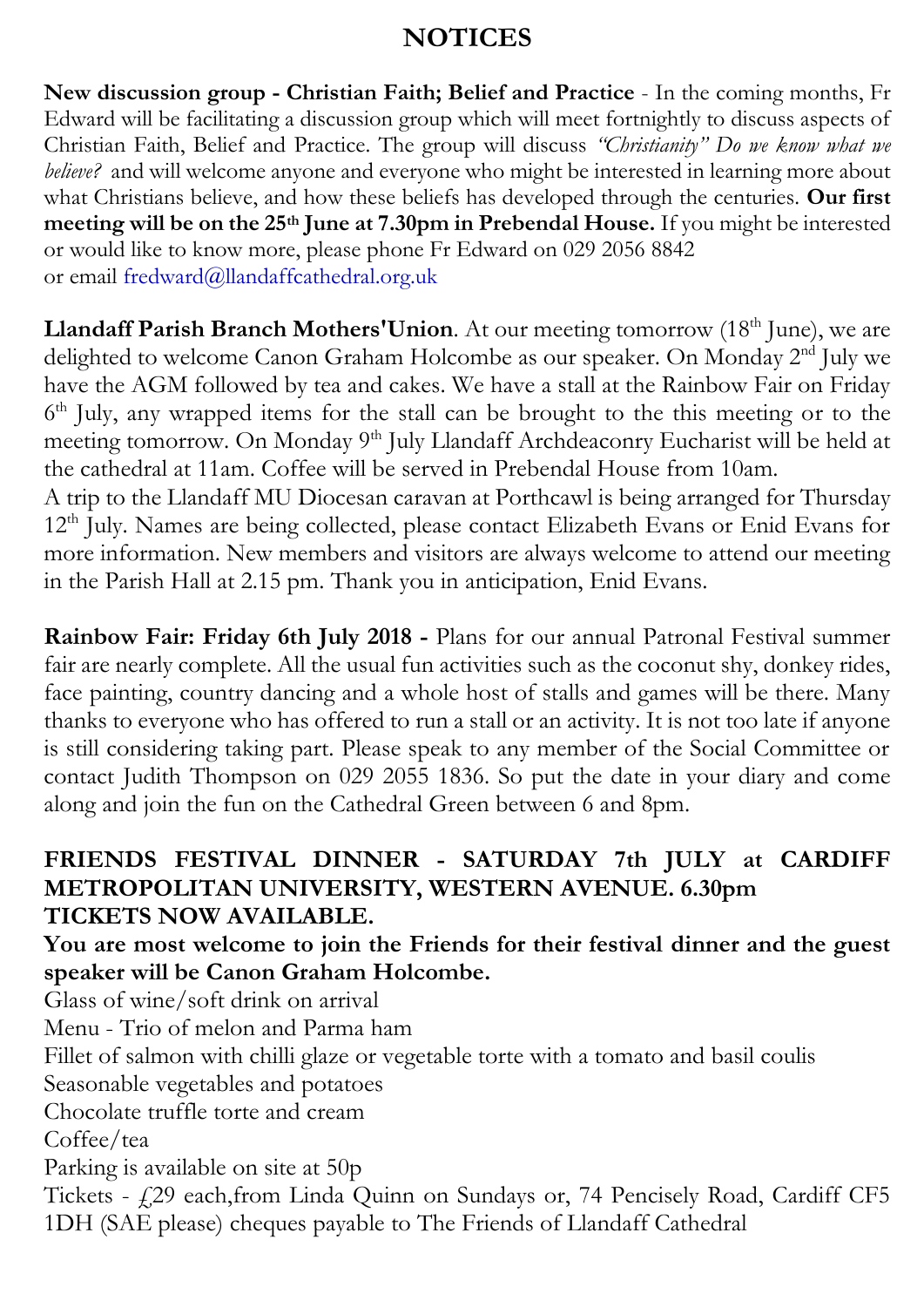### **NOTICES**

**New discussion group - Christian Faith; Belief and Practice** - In the coming months, Fr Edward will be facilitating a discussion group which will meet fortnightly to discuss aspects of Christian Faith, Belief and Practice. The group will discuss *"Christianity" Do we know what we believe?* and will welcome anyone and everyone who might be interested in learning more about what Christians believe, and how these beliefs has developed through the centuries. **Our first meeting will be on the 25th June at 7.30pm in Prebendal House.** If you might be interested or would like to know more, please phone Fr Edward on 029 2056 8842 or email [fredward@llandaffcathedral.org.uk](mailto:fredward@llandaffcathedral.org.uk)

**Llandaff Parish Branch Mothers' Union.** At our meeting tomorrow (18<sup>th</sup> June), we are delighted to welcome Canon Graham Holcombe as our speaker. On Monday 2<sup>nd</sup> July we have the AGM followed by tea and cakes. We have a stall at the Rainbow Fair on Friday 6<sup>th</sup> July, any wrapped items for the stall can be brought to the this meeting or to the meeting tomorrow. On Monday 9<sup>th</sup> July Llandaff Archdeaconry Eucharist will be held at the cathedral at 11am. Coffee will be served in Prebendal House from 10am.

A trip to the Llandaff MU Diocesan caravan at Porthcawl is being arranged for Thursday 12<sup>th</sup> July. Names are being collected, please contact Elizabeth Evans or Enid Evans for more information. New members and visitors are always welcome to attend our meeting in the Parish Hall at 2.15 pm. Thank you in anticipation, Enid Evans.

**Rainbow Fair: Friday 6th July 2018 -** Plans for our annual Patronal Festival summer fair are nearly complete. All the usual fun activities such as the coconut shy, donkey rides, face painting, country dancing and a whole host of stalls and games will be there. Many thanks to everyone who has offered to run a stall or an activity. It is not too late if anyone is still considering taking part. Please speak to any member of the Social Committee or contact Judith Thompson on 029 2055 1836. So put the date in your diary and come along and join the fun on the Cathedral Green between 6 and 8pm.

### **FRIENDS FESTIVAL DINNER - SATURDAY 7th JULY at CARDIFF METROPOLITAN UNIVERSITY, WESTERN AVENUE. 6.30pm TICKETS NOW AVAILABLE.**

### **You are most welcome to join the Friends for their festival dinner and the guest speaker will be Canon Graham Holcombe.**

Glass of wine/soft drink on arrival

Menu - Trio of melon and Parma ham

Fillet of salmon with chilli glaze or vegetable torte with a tomato and basil coulis

Seasonable vegetables and potatoes

Chocolate truffle torte and cream

Coffee/tea

Parking is available on site at 50p

Tickets - £29 each,from Linda Quinn on Sundays or, 74 Pencisely Road, Cardiff CF5 1DH (SAE please) cheques payable to The Friends of Llandaff Cathedral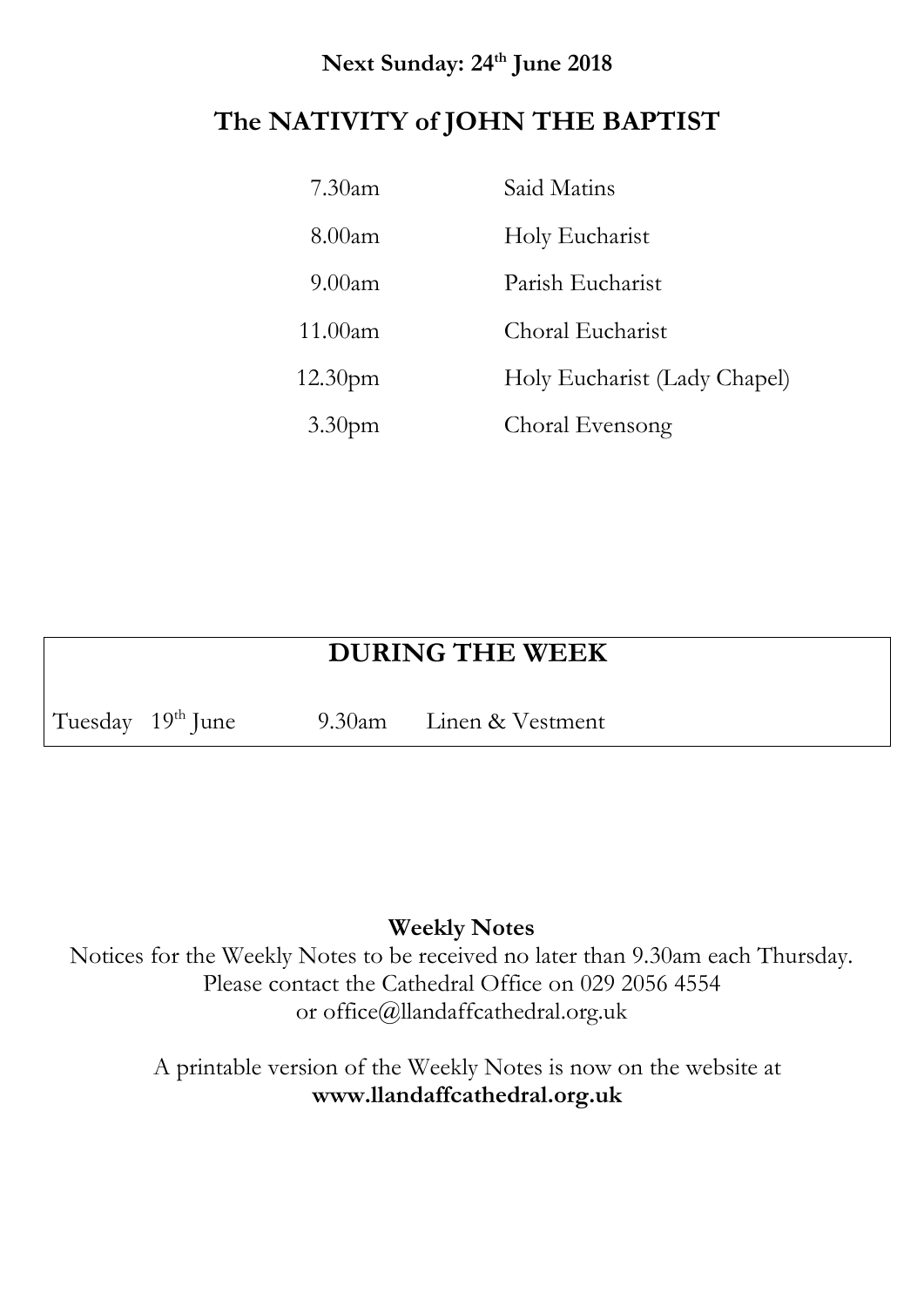### **Next Sunday: 24th June 2018**

### **The NATIVITY of JOHN THE BAPTIST**

| $7.30$ am           | Said Matins                  |
|---------------------|------------------------------|
| $8.00$ am           | Holy Eucharist               |
| 9.00am              | Parish Eucharist             |
| 11.00am             | Choral Eucharist             |
| 12.30 <sub>pm</sub> | Holy Eucharist (Lady Chapel) |
| 3.30 <sub>pm</sub>  | Choral Evensong              |

# **DURING THE WEEK**

Tuesday 19<sup>th</sup> June 9.30am Linen & Vestment

#### **Weekly Notes**

Notices for the Weekly Notes to be received no later than 9.30am each Thursday. Please contact the Cathedral Office on 029 2056 4554 or office@llandaffcathedral.org.uk

> A printable version of the Weekly Notes is now on the website at **[www.llandaffcathedral.org.uk](http://www.llandaffcathedral.org.uk/)**